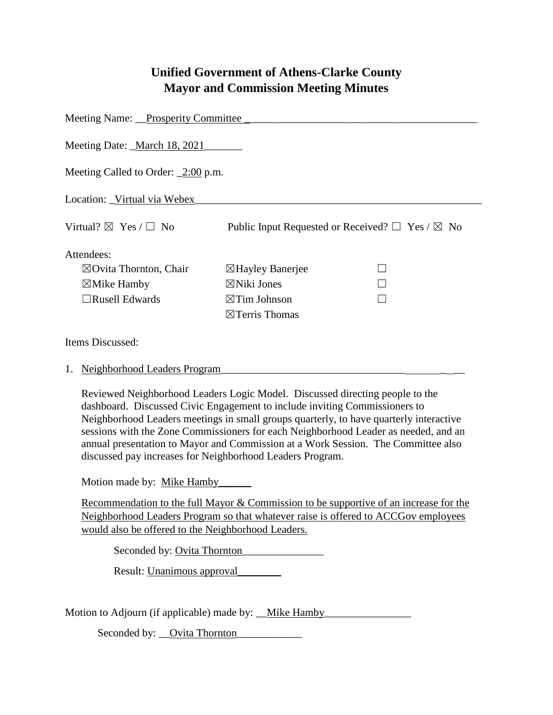## **Unified Government of Athens-Clarke County Mayor and Commission Meeting Minutes**

| Meeting Name: Prosperity Committee          |                                                                 |
|---------------------------------------------|-----------------------------------------------------------------|
| Meeting Date: March 18, 2021                |                                                                 |
| Meeting Called to Order: $\angle 2:00$ p.m. |                                                                 |
| Location: Virtual via Webex                 |                                                                 |
| Virtual? $\boxtimes$ Yes / $\Box$ No        | Public Input Requested or Received? $\Box$ Yes / $\boxtimes$ No |
| Attendees:                                  |                                                                 |
| $\boxtimes$ Ovita Thornton, Chair           | $\boxtimes$ Hayley Banerjee                                     |
| $\boxtimes$ Mike Hamby                      | $\boxtimes$ Niki Jones                                          |
| $\Box$ Rusell Edwards                       | $\boxtimes$ Tim Johnson                                         |
|                                             | $\boxtimes$ Terris Thomas                                       |
| Items Discussed:                            |                                                                 |
| $\mathcal{A}$ at the set of $\mathcal{A}$   |                                                                 |

## 1. Neighborhood Leaders Program

Reviewed Neighborhood Leaders Logic Model. Discussed directing people to the dashboard. Discussed Civic Engagement to include inviting Commissioners to Neighborhood Leaders meetings in small groups quarterly, to have quarterly interactive sessions with the Zone Commissioners for each Neighborhood Leader as needed, and an annual presentation to Mayor and Commission at a Work Session. The Committee also discussed pay increases for Neighborhood Leaders Program.

Motion made by: Mike Hamby

Recommendation to the full Mayor & Commission to be supportive of an increase for the Neighborhood Leaders Program so that whatever raise is offered to ACCGov employees would also be offered to the Neighborhood Leaders.

Seconded by: <u>Ovita Thornton</u>

Result: Unanimous approval

Motion to Adjourn (if applicable) made by: \_\_Mike Hamby\_\_\_\_\_\_\_\_\_\_\_\_\_\_\_\_\_\_\_\_\_\_\_\_\_

Seconded by: \_\_Ovita Thornton\_\_\_\_\_\_\_\_\_\_\_\_